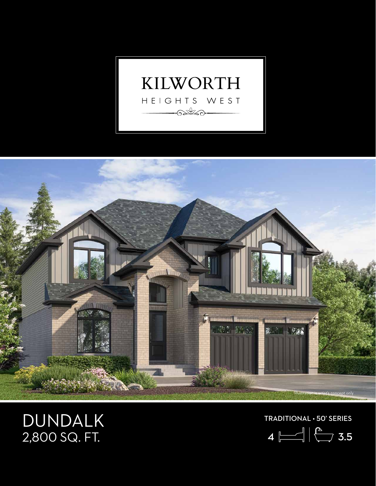



## DUNDALK 2,800 SQ. FT.

TRADITIONAL • 50' SERIES

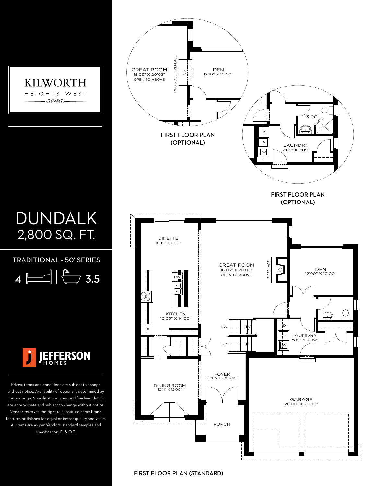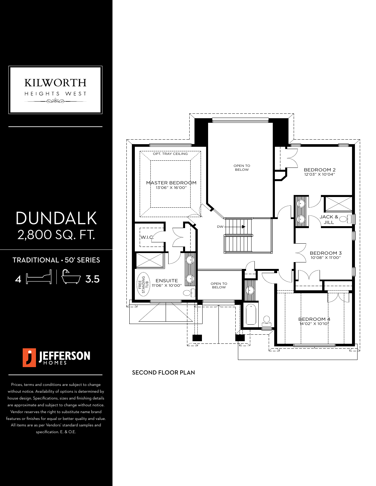

## DUNDALK 2,800 SQ. FT.

TRADITIONAL • 50' SERIES

 $4 \overline{\phantom{a}}$   $\left| \begin{array}{c} \overline{a} \\ \overline{a} \end{array} \right|$  3.5



Prices, terms and conditions are subject to change without notice. Availability of options is determined by house design. Specifications, sizes and finishing details are approximate and subject to change without notice. Vendor reserves the right to substitute name brand features or finishes for equal or better quality and value. All items are as per Vendors' standard samples and specification. E. & O.E.



SECOND FLOOR PLAN